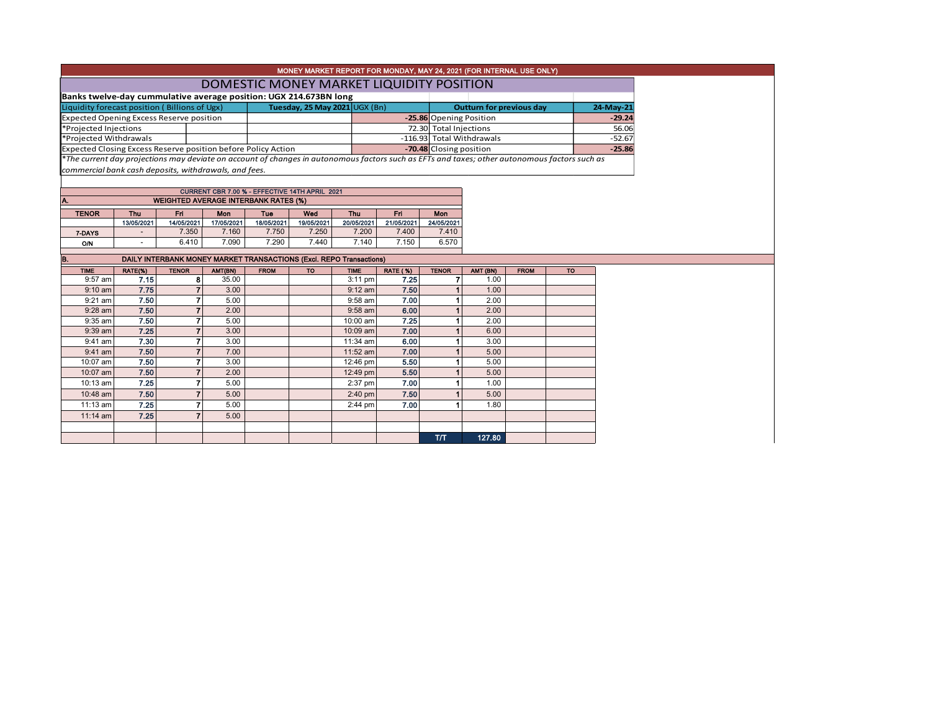|                                                                                                                                               |            |                                                                     |                               |                                          | MONEY MARKET REPORT FOR MONDAY, MAY 24, 2021 (FOR INTERNAL USE ONLY) |                        |                                 |                         |          |             |           |          |
|-----------------------------------------------------------------------------------------------------------------------------------------------|------------|---------------------------------------------------------------------|-------------------------------|------------------------------------------|----------------------------------------------------------------------|------------------------|---------------------------------|-------------------------|----------|-------------|-----------|----------|
|                                                                                                                                               |            |                                                                     |                               | DOMESTIC MONEY MARKET LIQUIDITY POSITION |                                                                      |                        |                                 |                         |          |             |           |          |
| Banks twelve-day cummulative average position: UGX 214.673BN long                                                                             |            |                                                                     |                               |                                          |                                                                      |                        |                                 |                         |          |             |           |          |
| Liquidity forecast position (Billions of Ugx)                                                                                                 |            |                                                                     | Tuesday, 25 May 2021 UGX (Bn) |                                          |                                                                      |                        | <b>Outturn for previous day</b> |                         |          | 24-May-21   |           |          |
| <b>Expected Opening Excess Reserve position</b>                                                                                               |            |                                                                     |                               |                                          |                                                                      |                        |                                 | -25.86 Opening Position |          |             |           | $-29.24$ |
| *Projected Injections                                                                                                                         |            |                                                                     |                               |                                          |                                                                      | 72.30 Total Injections |                                 |                         | 56.06    |             |           |          |
| *Projected Withdrawals                                                                                                                        |            |                                                                     |                               |                                          |                                                                      |                        | -116.93 Total Withdrawals       |                         | $-52.67$ |             |           |          |
| Expected Closing Excess Reserve position before Policy Action                                                                                 |            |                                                                     |                               |                                          |                                                                      |                        |                                 | -70.48 Closing position |          |             | $-25.86$  |          |
| *The current day projections may deviate on account of changes in autonomous factors such as EFTs and taxes; other autonomous factors such as |            |                                                                     |                               |                                          |                                                                      |                        |                                 |                         |          |             |           |          |
| commercial bank cash deposits, withdrawals, and fees.                                                                                         |            |                                                                     |                               |                                          |                                                                      |                        |                                 |                         |          |             |           |          |
|                                                                                                                                               |            |                                                                     |                               |                                          |                                                                      |                        |                                 |                         |          |             |           |          |
|                                                                                                                                               |            |                                                                     |                               |                                          |                                                                      |                        |                                 |                         |          |             |           |          |
| A.                                                                                                                                            |            | <b>WEIGHTED AVERAGE INTERBANK RATES (%)</b>                         |                               |                                          |                                                                      |                        |                                 |                         |          |             |           |          |
| <b>TENOR</b>                                                                                                                                  | Thu        | Fri.                                                                | <b>Mon</b>                    | Tue                                      | Wed                                                                  | Thu                    | Fri                             | <b>Mon</b>              |          |             |           |          |
|                                                                                                                                               | 13/05/2021 | 14/05/2021                                                          | 17/05/2021                    | 18/05/2021                               | 19/05/2021                                                           | 20/05/2021             | 21/05/2021                      | 24/05/2021              |          |             |           |          |
| 7-DAYS                                                                                                                                        |            | 7.350                                                               | 7.160                         | 7.750                                    | 7.250                                                                | 7.200                  | 7.400                           | 7.410                   |          |             |           |          |
| O/N                                                                                                                                           |            | 6.410                                                               | 7.090                         | 7.290                                    | 7.440                                                                | 7.140                  | 7.150                           | 6.570                   |          |             |           |          |
| B.                                                                                                                                            |            | DAILY INTERBANK MONEY MARKET TRANSACTIONS (Excl. REPO Transactions) |                               |                                          |                                                                      |                        |                                 |                         |          |             |           |          |
| <b>TIME</b>                                                                                                                                   | RATE(%)    | <b>TENOR</b>                                                        | AMT(BN)                       | <b>FROM</b>                              | <b>TO</b>                                                            | <b>TIME</b>            | <b>RATE (%)</b>                 | <b>TENOR</b>            | AMT (BN) | <b>FROM</b> | <b>TO</b> |          |
| 9:57 am                                                                                                                                       | 7.15       | 8                                                                   | 35.00                         |                                          |                                                                      | 3:11 pm                | 7.25                            | 7                       | 1.00     |             |           |          |
| $9:10$ am                                                                                                                                     | 7.75       | $\overline{7}$                                                      | 3.00                          |                                          |                                                                      | $9:12$ am              | 7.50                            |                         | 1.00     |             |           |          |
| 9:21 am                                                                                                                                       | 7.50       | 7                                                                   | 5.00                          |                                          |                                                                      | $9:58$ am              | 7.00                            |                         | 2.00     |             |           |          |
| 9:28 am                                                                                                                                       | 7.50       | $\overline{7}$                                                      | 2.00                          |                                          |                                                                      | $9:58$ am              | 6.00                            |                         | 2.00     |             |           |          |
| 9:35 am                                                                                                                                       | 7.50       | 7                                                                   | 5.00                          |                                          |                                                                      | 10:00 am               | 7.25                            |                         | 2.00     |             |           |          |
| 9:39 am                                                                                                                                       | 7.25       | $\overline{7}$                                                      | 3.00                          |                                          |                                                                      | 10:09 am               | 7.00                            |                         | 6.00     |             |           |          |
| $9:41$ am                                                                                                                                     | 7.30       | $\overline{7}$                                                      | 3.00                          |                                          |                                                                      | 11:34 am               | 6.00                            |                         | 3.00     |             |           |          |
| $9:41$ am                                                                                                                                     | 7.50       | $\overline{7}$                                                      | 7.00                          |                                          |                                                                      | 11:52 am               | 7.00                            |                         | 5.00     |             |           |          |
| 10:07 am                                                                                                                                      | 7.50       | $\overline{7}$                                                      | 3.00                          |                                          |                                                                      | 12:46 pm               | 5.50                            |                         | 5.00     |             |           |          |
| 10:07 am                                                                                                                                      | 7.50       | $\overline{7}$                                                      | 2.00                          |                                          |                                                                      | 12:49 pm               | 5.50                            |                         | 5.00     |             |           |          |
| 10:13 am                                                                                                                                      | 7.25       | $\overline{7}$                                                      | 5.00                          |                                          |                                                                      | 2:37 pm                | 7.00                            | 1                       | 1.00     |             |           |          |
| 10:48 am                                                                                                                                      | 7.50       | $\overline{7}$                                                      | 5.00                          |                                          |                                                                      | $2:40$ pm              | 7.50                            |                         | 5.00     |             |           |          |
| 11:13 am                                                                                                                                      | 7.25       | $\overline{7}$                                                      | 5.00                          |                                          |                                                                      | $2:44$ pm              | 7.00                            |                         | 1.80     |             |           |          |
| 11:14 am                                                                                                                                      | 7.25       | $\overline{7}$                                                      | 5.00                          |                                          |                                                                      |                        |                                 |                         |          |             |           |          |
|                                                                                                                                               |            |                                                                     |                               |                                          |                                                                      |                        |                                 |                         |          |             |           |          |
|                                                                                                                                               |            |                                                                     |                               |                                          |                                                                      |                        |                                 | <b>T/T</b>              | 127.80   |             |           |          |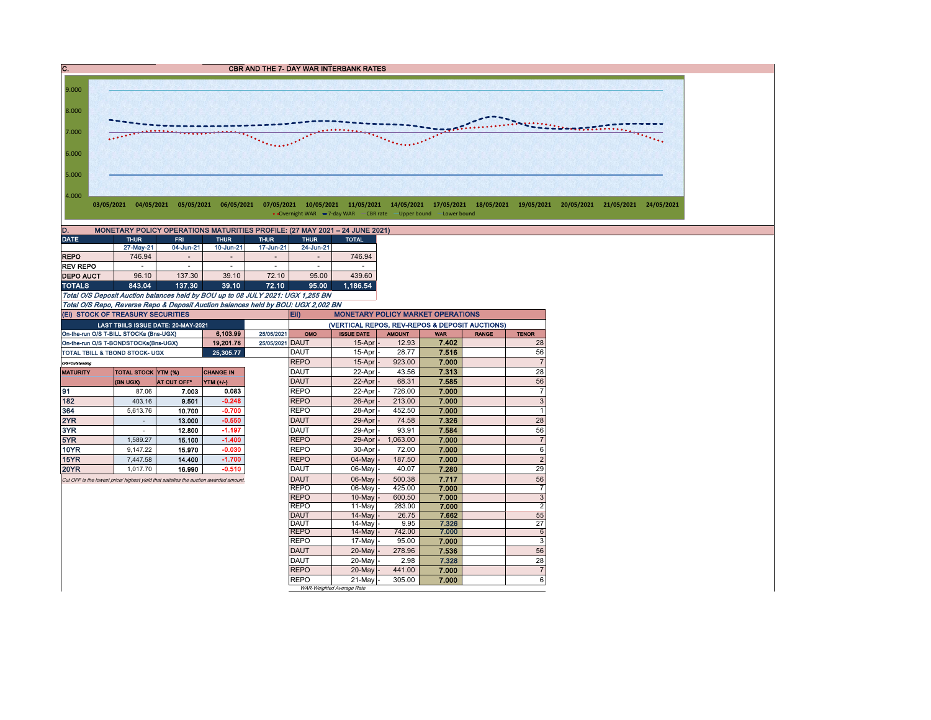` DATE THUR FRI THUR THUR THUR TOTAL 27-May-21 04-Jun-21 10-Jun-21 17-Jun-21 24-Jun-21 REPO | 746.94 - | - | - | - | 746.94 REV REPO | - | - | - | - | - | -**DEPO AUCT** 96.10 137.30 39.10 72.10 95.00 439.60 TOTALS 843.04 137.30 39.10 72.10 95.00 1,186.54 Total O/S Deposit Auction balances held by BOU up to 08 JULY 2021: UGX 1,255 BN Total O/S Repo, Reverse Repo & Deposit Auction balances held by BOU: UGX 2,002 BN On-the-run O/S T-BILL STOCKs (Bns-UGX) 6,103.99 25/05/2021 OMO ISSUE DATE AMOUNT WAR RANGE TENOR On-the-run O/S T-BONDSTOCKs(Bns-UGX) | 19,201.78 25/05/2021 DAUT | 15-Apr - 12.93 | 7.402 | 28 TOTAL TBILL & TBOND STOCK- UGX **25,305.77** DAUT 15-Apr - 28.77 7.516 7.516 56 O/S=Outstanding researching researching researching researching researching researching researching researching MATURITY TOTAL STOCK YTM (%) CHANGE IN DAUT 22-Apr - 43.56 7.313 28 (BN UGX) AT CUT OFF\* YTM (+/-) CDAUT | 22-Apr |- 68.31 | 7**.585 | | 5**6 91 87.06 7.003 0.083 REPO 22-Apr - 726.00 7.000 7 182 403.16 9.501 -0.248 REPO 26-Apr - 213.00 7.000 3 **364** | 5,613.76 | 10**.700 | -0.700 |** REPO | 28-Apr | 452.50 | 7**.000** | | 1 (Ei) STOCK OF TREASURY SECURITIES (VERTICAL REPOS, REV-REPOS & DEPOSIT AUCTIONS) C. C. CBR AND THE 7- DAY WAR INTERBANK RATES D. MONETARY POLICY OPERATIONS MATURITIES PROFILE: (27 MAY 2021 – 24 JUNE 2021) Eii) MONETARY POLICY MARKET OPERATIONS LAST TBIILS ISSUE DATE: 20-MAY-2021 4.000 5.000 6.000 7.000 8.000 9.000 03/05/2021 04/05/2021 05/05/2021 06/05/2021 07/05/2021 10/05/2021 11/05/2021 14/05/2021 17/05/2021 18/05/2021 19/05/2021 20/05/2021 21/05/2021 24/05/2021 • Overnight WAR -7-day WAR -CBR rate - Upper bound - Lower bound

2YR - 13.000 -0.550 DAUT 29-Apr - 74.58 7.326 28 3YR - 12.800 -1.197 DAUT 29-Apr - 93.91 7.584 56 5YR | 1,589.27 | **15.100 | -1.400 | |**REPO | 29-Apr |- 1,063.00 | **7.000 |** | 7 10YR | 9,147.22 | **15.970 | -0.030 | |**REPO | 30-Apr |- 72.00 | **7.000 |** 6 15YR 7,447.58 14.400 -1.700 REPO 04-May - 187.50 7.000 2 20YR 1,017.70 16.990 -0.510 DAUT 06-May - 40.07 7.280 29 Cut OFF is the lowest price/ highest yield that satisfies the auction awarded amount. **DAUT** 06-May - 500.38 7.717

REPO 06-May - 425.00 7.000<br>REPO 10-May - 600.50 7.000

REPO | 20-May |- 441.00 | 7.000

WAR-Weighted Average Rate

REPO 10-May - 600.50 7.000 3 REPO | 11-May 283.00 | **7.000** | 2 DAUT | 14-May|- 26.75 | **7.662** | 55 DAUT | 14-May |- 9.95 | **7.326 |** 27 REPO 14-May - 742.00 7.000 6 REPO | 17-May |- 95.00 | 7.000 | 3 DAUT | 20-May | 278.96 | 7.536 | 56 DAUT | 20-May |- 2.98 | 7.328 | 28

REPO | 21-May - 305.00 | 7.000 | 6